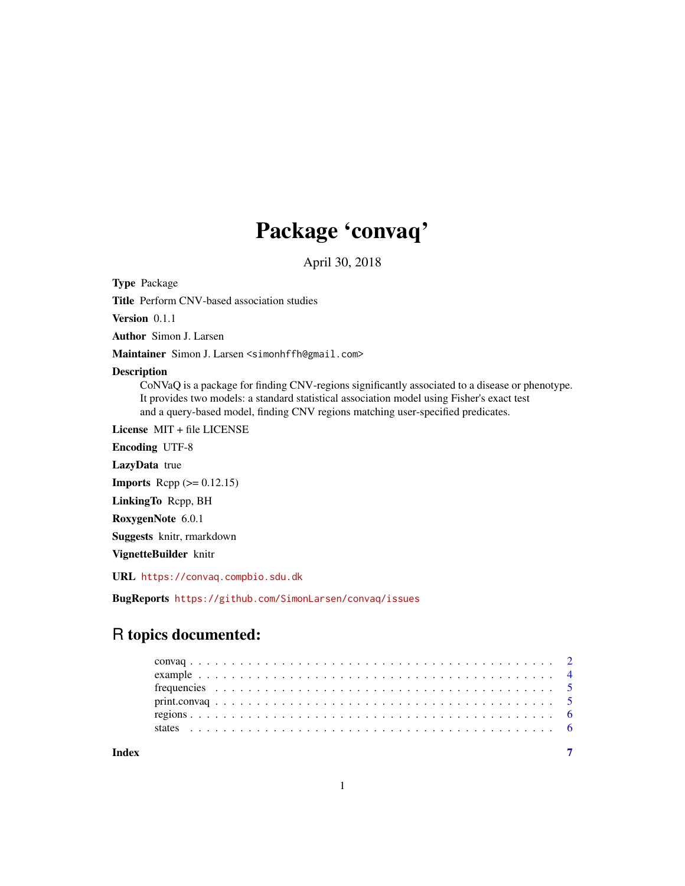# Package 'convaq'

April 30, 2018

Type Package

Title Perform CNV-based association studies

Version 0.1.1

Author Simon J. Larsen

Maintainer Simon J. Larsen <simonhffh@gmail.com>

#### Description

CoNVaQ is a package for finding CNV-regions significantly associated to a disease or phenotype. It provides two models: a standard statistical association model using Fisher's exact test and a query-based model, finding CNV regions matching user-specified predicates.

License MIT + file LICENSE

Encoding UTF-8 LazyData true

**Imports** Rcpp  $(>= 0.12.15)$ 

LinkingTo Rcpp, BH

RoxygenNote 6.0.1

Suggests knitr, rmarkdown

VignetteBuilder knitr

URL <https://convaq.compbio.sdu.dk>

BugReports <https://github.com/SimonLarsen/convaq/issues>

# R topics documented:

| print.convaq |  |  |  |  |  |  |  |  |  |  |  |  |  |  |  |  |  |  |  |  |
|--------------|--|--|--|--|--|--|--|--|--|--|--|--|--|--|--|--|--|--|--|--|
|              |  |  |  |  |  |  |  |  |  |  |  |  |  |  |  |  |  |  |  |  |
|              |  |  |  |  |  |  |  |  |  |  |  |  |  |  |  |  |  |  |  |  |

**Index** [7](#page-6-0)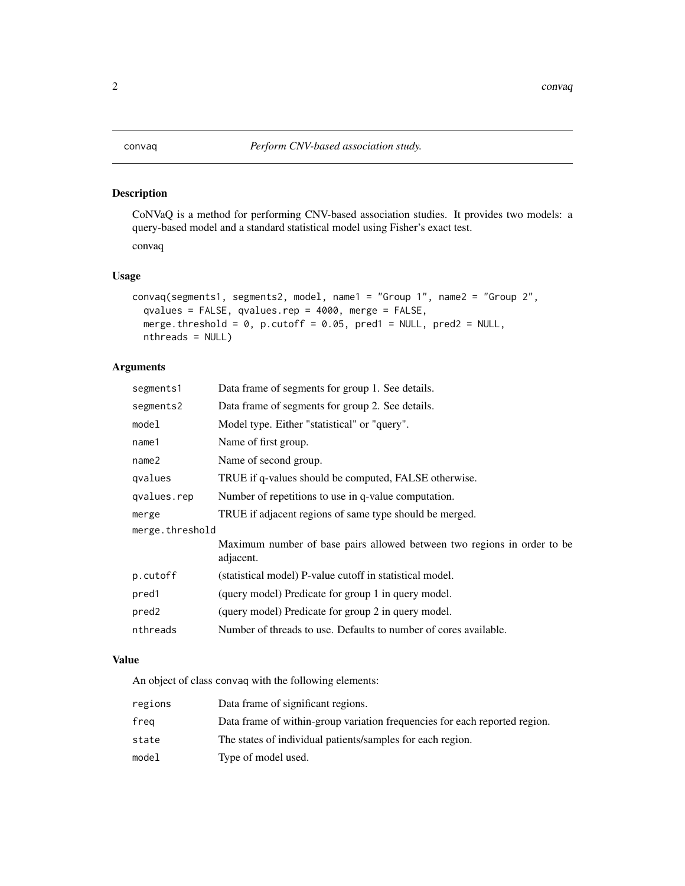# <span id="page-1-0"></span>Description

CoNVaQ is a method for performing CNV-based association studies. It provides two models: a query-based model and a standard statistical model using Fisher's exact test. convaq

# Usage

```
convaq(segments1, segments2, model, name1 = "Group 1", name2 = "Group 2",
 qvalues = FALSE, qvalues.rep = 4000, merge = FALSE,
 merge.threshold = 0, p.cutoff = 0.05, pred1 = NULL, pred2 = NULL,
 nthreads = NULL)
```
# Arguments

| Data frame of segments for group 1. See details.                                     |
|--------------------------------------------------------------------------------------|
| Data frame of segments for group 2. See details.                                     |
| Model type. Either "statistical" or "query".                                         |
| Name of first group.                                                                 |
| Name of second group.                                                                |
| TRUE if q-values should be computed, FALSE otherwise.                                |
| Number of repetitions to use in q-value computation.                                 |
| TRUE if adjacent regions of same type should be merged.                              |
| merge.threshold                                                                      |
| Maximum number of base pairs allowed between two regions in order to be<br>adjacent. |
| (statistical model) P-value cutoff in statistical model.                             |
| (query model) Predicate for group 1 in query model.                                  |
| (query model) Predicate for group 2 in query model.                                  |
| Number of threads to use. Defaults to number of cores available.                     |
|                                                                                      |

# Value

An object of class convaq with the following elements:

| regions | Data frame of significant regions.                                         |
|---------|----------------------------------------------------------------------------|
| freg    | Data frame of within-group variation frequencies for each reported region. |
| state   | The states of individual patients/samples for each region.                 |
| model   | Type of model used.                                                        |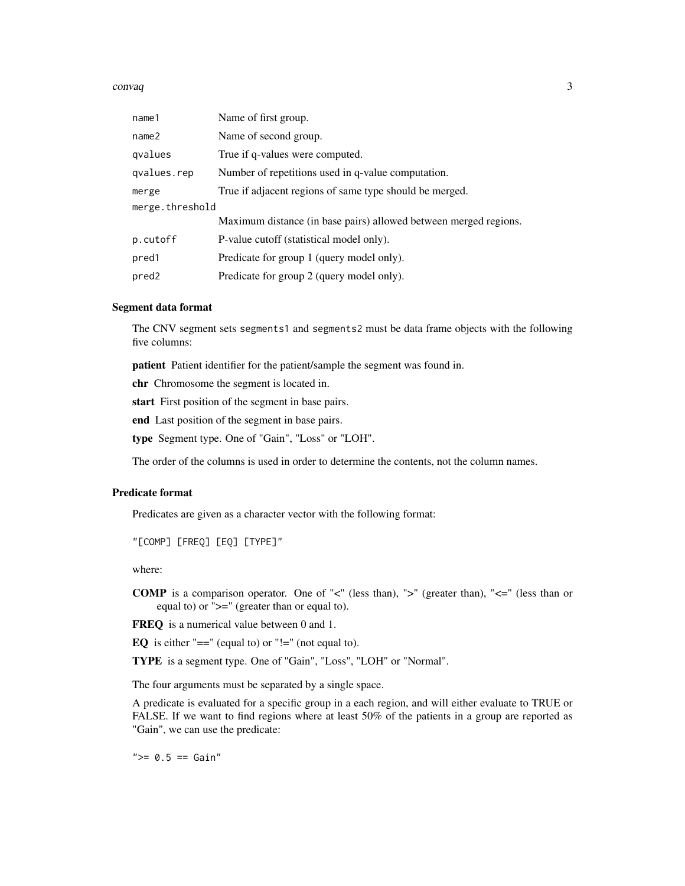#### $convaq$  3

| name1             | Name of first group.                                             |
|-------------------|------------------------------------------------------------------|
| name <sub>2</sub> | Name of second group.                                            |
| qvalues           | True if q-values were computed.                                  |
| qvalues.rep       | Number of repetitions used in q-value computation.               |
| merge             | True if adjacent regions of same type should be merged.          |
| merge.threshold   |                                                                  |
|                   | Maximum distance (in base pairs) allowed between merged regions. |
| p.cutoff          | P-value cutoff (statistical model only).                         |
| pred1             | Predicate for group 1 (query model only).                        |
| pred <sub>2</sub> | Predicate for group 2 (query model only).                        |

#### Segment data format

The CNV segment sets segments1 and segments2 must be data frame objects with the following five columns:

patient Patient identifier for the patient/sample the segment was found in.

chr Chromosome the segment is located in.

start First position of the segment in base pairs.

end Last position of the segment in base pairs.

type Segment type. One of "Gain", "Loss" or "LOH".

The order of the columns is used in order to determine the contents, not the column names.

# Predicate format

Predicates are given as a character vector with the following format:

"[COMP] [FREQ] [EQ] [TYPE]"

where:

**COMP** is a comparison operator. One of " $\lt'$ " (less than), " $\gt'$ " (greater than), " $\lt'=\mathbb{I}$ " (less than or equal to) or ">=" (greater than or equal to).

FREQ is a numerical value between 0 and 1.

EQ is either "==" (equal to) or "!=" (not equal to).

TYPE is a segment type. One of "Gain", "Loss", "LOH" or "Normal".

The four arguments must be separated by a single space.

A predicate is evaluated for a specific group in a each region, and will either evaluate to TRUE or FALSE. If we want to find regions where at least 50% of the patients in a group are reported as "Gain", we can use the predicate:

 $">= 0.5 == Gain"$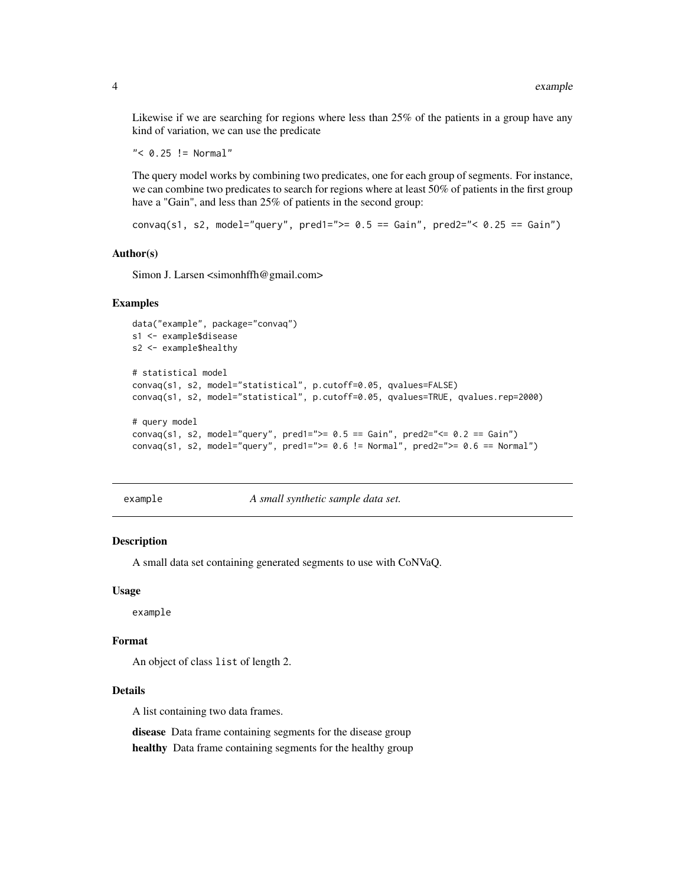Likewise if we are searching for regions where less than 25% of the patients in a group have any kind of variation, we can use the predicate

```
" < 0.25 != Normal"
```
The query model works by combining two predicates, one for each group of segments. For instance, we can combine two predicates to search for regions where at least 50% of patients in the first group have a "Gain", and less than 25% of patients in the second group:

convaq(s1, s2, model="query", pred1=">=  $0.5$  == Gain", pred2="<  $0.25$  == Gain")

#### Author(s)

Simon J. Larsen <simonhffh@gmail.com>

#### Examples

```
data("example", package="convaq")
s1 <- example$disease
s2 <- example$healthy
# statistical model
convaq(s1, s2, model="statistical", p.cutoff=0.05, qvalues=FALSE)
convaq(s1, s2, model="statistical", p.cutoff=0.05, qvalues=TRUE, qvalues.rep=2000)
# query model
convaq(s1, s2, model="query", pred1=">= 0.5 == Gain", pred2="<= 0.2 == Gain")
convaq(s1, s2, model="query", pred1=">= 0.6 != Normal", pred2=">= 0.6 == Normal")
```
example *A small synthetic sample data set.*

### Description

A small data set containing generated segments to use with CoNVaQ.

#### Usage

example

#### Format

An object of class list of length 2.

#### Details

A list containing two data frames.

disease Data frame containing segments for the disease group healthy Data frame containing segments for the healthy group

<span id="page-3-0"></span>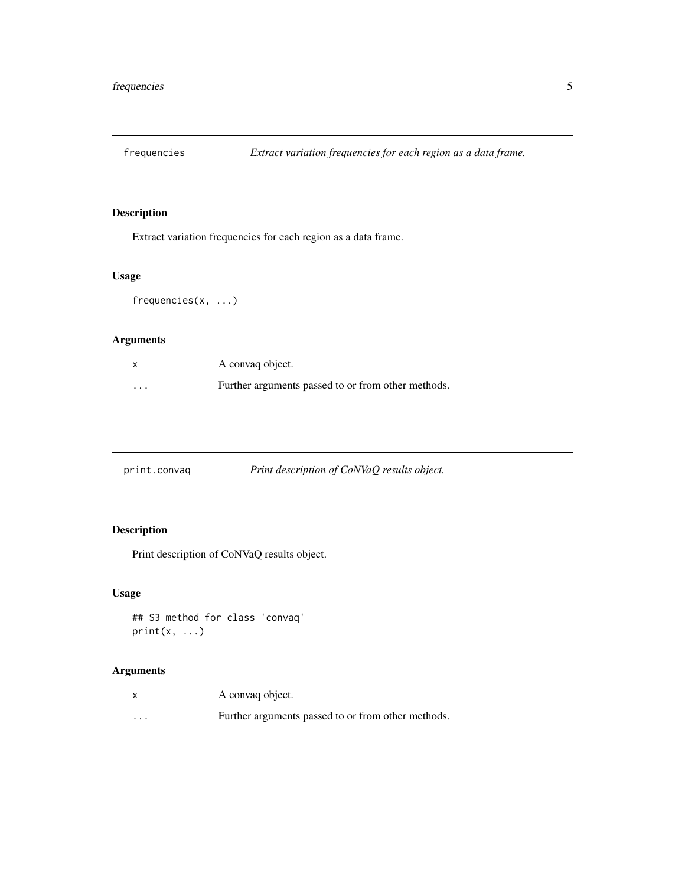<span id="page-4-0"></span>

# Description

Extract variation frequencies for each region as a data frame.

# Usage

frequencies(x, ...)

# Arguments

| $\boldsymbol{\mathsf{x}}$ | A convag object.                                   |
|---------------------------|----------------------------------------------------|
| $\cdots$                  | Further arguments passed to or from other methods. |

| print.convaq | Print description of CoNVaQ results object. |
|--------------|---------------------------------------------|
|              |                                             |

# Description

Print description of CoNVaQ results object.

# Usage

```
## S3 method for class 'convaq'
print(x, \ldots)
```
# Arguments

|          | A convaq object.                                   |
|----------|----------------------------------------------------|
| $\cdots$ | Further arguments passed to or from other methods. |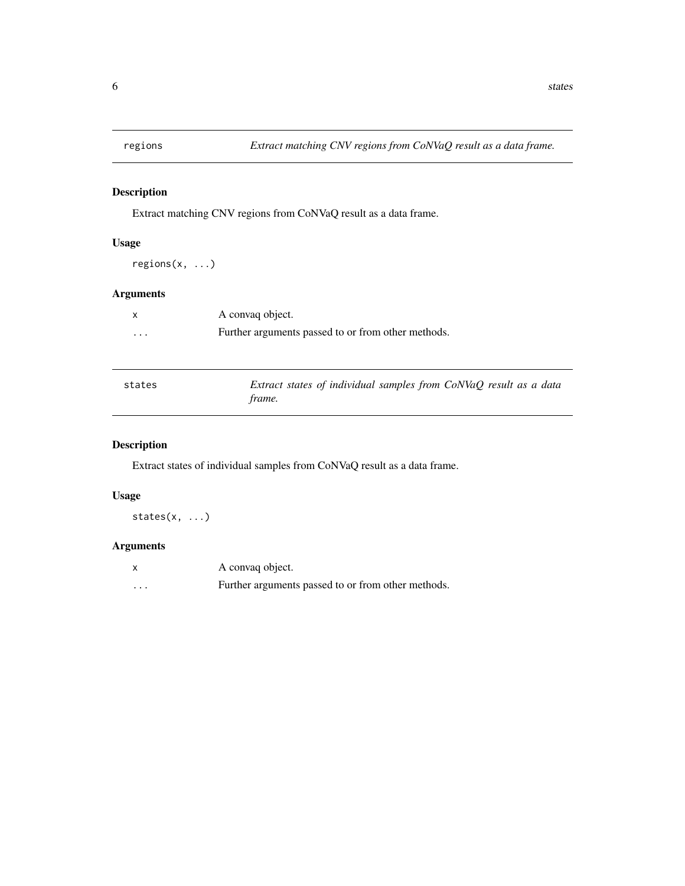<span id="page-5-0"></span>

# Description

Extract matching CNV regions from CoNVaQ result as a data frame.

# Usage

regions(x, ...)

# Arguments

|          | A convag object.                                   |
|----------|----------------------------------------------------|
| $\cdots$ | Further arguments passed to or from other methods. |

| states | Extract states of individual samples from CoNVaQ result as a data |
|--------|-------------------------------------------------------------------|
|        | frame.                                                            |

# Description

Extract states of individual samples from CoNVaQ result as a data frame.

# Usage

states(x, ...)

# Arguments

|   | A convaq object.                                   |
|---|----------------------------------------------------|
| . | Further arguments passed to or from other methods. |